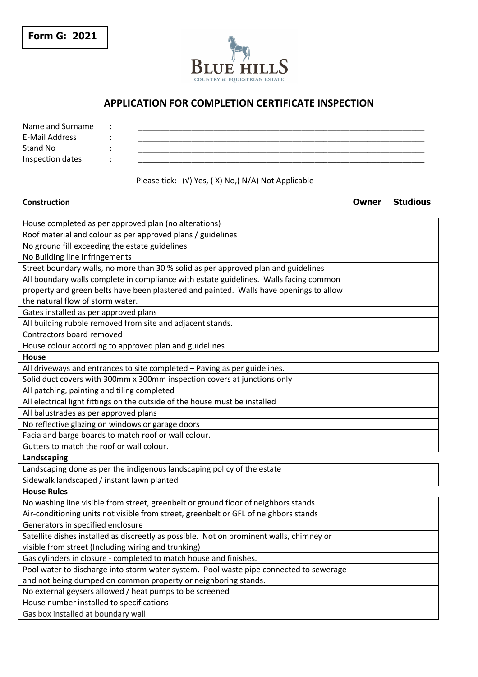



## **APPLICATION FOR COMPLETION CERTIFICATE INSPECTION**

| Name and Surname |  |
|------------------|--|
| E-Mail Address   |  |
| Stand No         |  |
| Inspection dates |  |
|                  |  |

## Please tick: (√) Yes, ( X) No,( N/A) Not Applicable

## **Construction**<br> **Construction Construction Construction Construction Construction Construction Construction Construction Construction Construction Construction Construction Construction**

| House completed as per approved plan (no alterations)                                    |  |  |  |  |
|------------------------------------------------------------------------------------------|--|--|--|--|
| Roof material and colour as per approved plans / guidelines                              |  |  |  |  |
| No ground fill exceeding the estate guidelines                                           |  |  |  |  |
| No Building line infringements                                                           |  |  |  |  |
| Street boundary walls, no more than 30 % solid as per approved plan and guidelines       |  |  |  |  |
| All boundary walls complete in compliance with estate guidelines. Walls facing common    |  |  |  |  |
| property and green belts have been plastered and painted. Walls have openings to allow   |  |  |  |  |
| the natural flow of storm water.                                                         |  |  |  |  |
| Gates installed as per approved plans                                                    |  |  |  |  |
| All building rubble removed from site and adjacent stands.                               |  |  |  |  |
| Contractors board removed                                                                |  |  |  |  |
| House colour according to approved plan and guidelines                                   |  |  |  |  |
| <b>House</b>                                                                             |  |  |  |  |
| All driveways and entrances to site completed - Paving as per guidelines.                |  |  |  |  |
| Solid duct covers with 300mm x 300mm inspection covers at junctions only                 |  |  |  |  |
| All patching, painting and tiling completed                                              |  |  |  |  |
| All electrical light fittings on the outside of the house must be installed              |  |  |  |  |
| All balustrades as per approved plans                                                    |  |  |  |  |
| No reflective glazing on windows or garage doors                                         |  |  |  |  |
| Facia and barge boards to match roof or wall colour.                                     |  |  |  |  |
| Gutters to match the roof or wall colour.                                                |  |  |  |  |
| Landscaping                                                                              |  |  |  |  |
| Landscaping done as per the indigenous landscaping policy of the estate                  |  |  |  |  |
| Sidewalk landscaped / instant lawn planted                                               |  |  |  |  |
| <b>House Rules</b>                                                                       |  |  |  |  |
| No washing line visible from street, greenbelt or ground floor of neighbors stands       |  |  |  |  |
| Air-conditioning units not visible from street, greenbelt or GFL of neighbors stands     |  |  |  |  |
| Generators in specified enclosure                                                        |  |  |  |  |
| Satellite dishes installed as discreetly as possible. Not on prominent walls, chimney or |  |  |  |  |
| visible from street (Including wiring and trunking)                                      |  |  |  |  |
| Gas cylinders in closure - completed to match house and finishes.                        |  |  |  |  |
| Pool water to discharge into storm water system. Pool waste pipe connected to sewerage   |  |  |  |  |
| and not being dumped on common property or neighboring stands.                           |  |  |  |  |
| No external geysers allowed / heat pumps to be screened                                  |  |  |  |  |
| House number installed to specifications                                                 |  |  |  |  |
| Gas box installed at boundary wall.                                                      |  |  |  |  |
|                                                                                          |  |  |  |  |